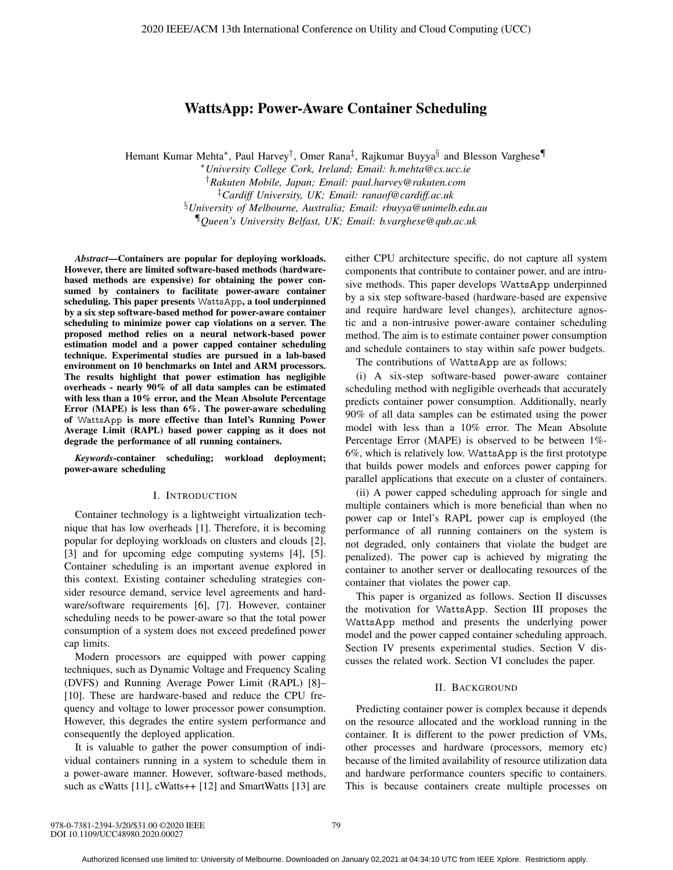# WattsApp: Power-Aware Container Scheduling

Hemant Kumar Mehta∗, Paul Harvey†, Omer Rana‡, Rajkumar Buyya§ and Blesson Varghese¶

∗*University College Cork, Ireland; Email: h.mehta@cs.ucc.ie* †*Rakuten Mobile, Japan; Email: paul.harvey@rakuten.com* ‡*Cardiff University, UK; Email: ranaof@cardiff.ac.uk* §*University of Melbourne, Australia; Email: rbuyya@unimelb.edu.au* ¶*Queen's University Belfast, UK; Email: b.varghese@qub.ac.uk*

*Abstract*—Containers are popular for deploying workloads. However, there are limited software-based methods (hardwarebased methods are expensive) for obtaining the power consumed by containers to facilitate power-aware container scheduling. This paper presents WattsApp, a tool underpinned by a six step software-based method for power-aware container scheduling to minimize power cap violations on a server. The proposed method relies on a neural network-based power estimation model and a power capped container scheduling technique. Experimental studies are pursued in a lab-based environment on 10 benchmarks on Intel and ARM processors. The results highlight that power estimation has negligible overheads - nearly 90% of all data samples can be estimated with less than a 10% error, and the Mean Absolute Percentage Error (MAPE) is less than 6%. The power-aware scheduling of WattsApp is more effective than Intel's Running Power Average Limit (RAPL) based power capping as it does not degrade the performance of all running containers.

*Keywords*-container scheduling; workload deployment; power-aware scheduling

## I. INTRODUCTION

Container technology is a lightweight virtualization technique that has low overheads [1]. Therefore, it is becoming popular for deploying workloads on clusters and clouds [2], [3] and for upcoming edge computing systems [4], [5]. Container scheduling is an important avenue explored in this context. Existing container scheduling strategies consider resource demand, service level agreements and hardware/software requirements [6], [7]. However, container scheduling needs to be power-aware so that the total power consumption of a system does not exceed predefined power cap limits.

Modern processors are equipped with power capping techniques, such as Dynamic Voltage and Frequency Scaling (DVFS) and Running Average Power Limit (RAPL) [8]– [10]. These are hardware-based and reduce the CPU frequency and voltage to lower processor power consumption. However, this degrades the entire system performance and consequently the deployed application.

It is valuable to gather the power consumption of individual containers running in a system to schedule them in a power-aware manner. However, software-based methods, such as cWatts [11], cWatts++ [12] and SmartWatts [13] are either CPU architecture specific, do not capture all system components that contribute to container power, and are intrusive methods. This paper develops WattsApp underpinned by a six step software-based (hardware-based are expensive and require hardware level changes), architecture agnostic and a non-intrusive power-aware container scheduling method. The aim is to estimate container power consumption and schedule containers to stay within safe power budgets.

The contributions of WattsApp are as follows:

(i) A six-step software-based power-aware container scheduling method with negligible overheads that accurately predicts container power consumption. Additionally, nearly 90% of all data samples can be estimated using the power model with less than a 10% error. The Mean Absolute Percentage Error (MAPE) is observed to be between 1%- 6%, which is relatively low. WattsApp is the first prototype that builds power models and enforces power capping for parallel applications that execute on a cluster of containers.

(ii) A power capped scheduling approach for single and multiple containers which is more beneficial than when no power cap or Intel's RAPL power cap is employed (the performance of all running containers on the system is not degraded, only containers that violate the budget are penalized). The power cap is achieved by migrating the container to another server or deallocating resources of the container that violates the power cap.

This paper is organized as follows. Section II discusses the motivation for WattsApp. Section III proposes the WattsApp method and presents the underlying power model and the power capped container scheduling approach. Section IV presents experimental studies. Section V discusses the related work. Section VI concludes the paper.

## II. BACKGROUND

Predicting container power is complex because it depends on the resource allocated and the workload running in the container. It is different to the power prediction of VMs, other processes and hardware (processors, memory etc) because of the limited availability of resource utilization data and hardware performance counters specific to containers. This is because containers create multiple processes on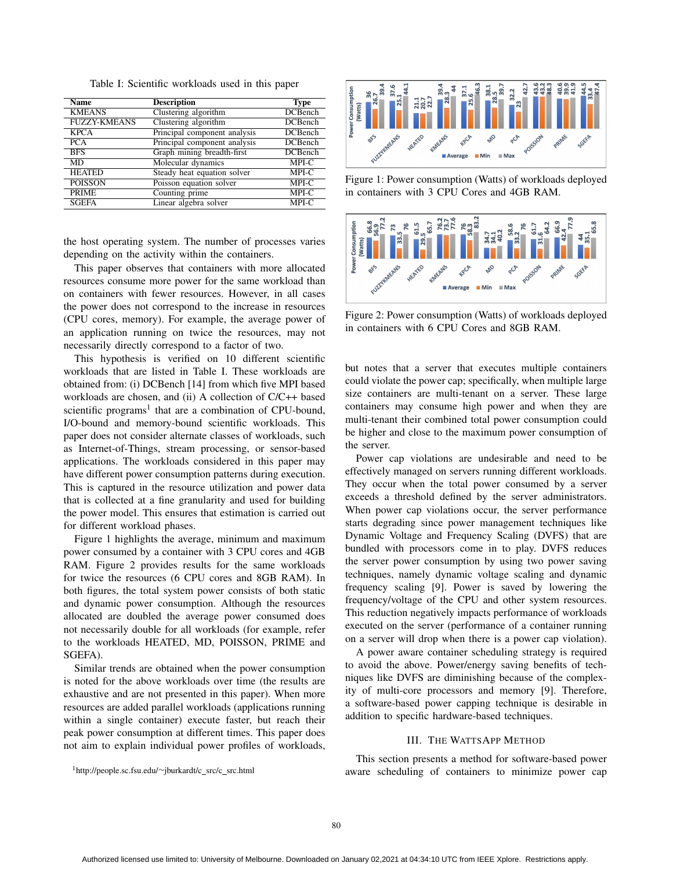Table I: Scientific workloads used in this paper

| <b>Name</b>         | <b>Description</b>           | <b>Type</b>    |
|---------------------|------------------------------|----------------|
| <b>KMEANS</b>       | Clustering algorithm         | <b>DCBench</b> |
| <b>FUZZY-KMEANS</b> | Clustering algorithm         | <b>DCBench</b> |
| <b>KPCA</b>         | Principal component analysis | <b>DCBench</b> |
| <b>PCA</b>          | Principal component analysis | <b>DCBench</b> |
| <b>BFS</b>          | Graph mining breadth-first   | <b>DCBench</b> |
| <b>MD</b>           | Molecular dynamics           | MPI-C          |
| <b>HEATED</b>       | Steady heat equation solver  | MPI-C          |
| <b>POISSON</b>      | Poisson equation solver      | MPI-C          |
| <b>PRIME</b>        | Counting prime               | MPI-C          |
| <b>SGEFA</b>        | Linear algebra solver        | MPI-C          |
|                     |                              |                |

the host operating system. The number of processes varies depending on the activity within the containers.

This paper observes that containers with more allocated resources consume more power for the same workload than on containers with fewer resources. However, in all cases the power does not correspond to the increase in resources (CPU cores, memory). For example, the average power of an application running on twice the resources, may not necessarily directly correspond to a factor of two.

This hypothesis is verified on 10 different scientific workloads that are listed in Table I. These workloads are obtained from: (i) DCBench [14] from which five MPI based workloads are chosen, and (ii) A collection of C/C++ based scientific programs<sup>1</sup> that are a combination of CPU-bound, I/O-bound and memory-bound scientific workloads. This paper does not consider alternate classes of workloads, such as Internet-of-Things, stream processing, or sensor-based applications. The workloads considered in this paper may have different power consumption patterns during execution. This is captured in the resource utilization and power data that is collected at a fine granularity and used for building the power model. This ensures that estimation is carried out for different workload phases.

Figure 1 highlights the average, minimum and maximum power consumed by a container with 3 CPU cores and 4GB RAM. Figure 2 provides results for the same workloads for twice the resources (6 CPU cores and 8GB RAM). In both figures, the total system power consists of both static and dynamic power consumption. Although the resources allocated are doubled the average power consumed does not necessarily double for all workloads (for example, refer to the workloads HEATED, MD, POISSON, PRIME and SGEFA).

Similar trends are obtained when the power consumption is noted for the above workloads over time (the results are exhaustive and are not presented in this paper). When more resources are added parallel workloads (applications running within a single container) execute faster, but reach their peak power consumption at different times. This paper does not aim to explain individual power profiles of workloads,





Figure 1: Power consumption (Watts) of workloads deployed in containers with 3 CPU Cores and 4GB RAM.



Figure 2: Power consumption (Watts) of workloads deployed in containers with 6 CPU Cores and 8GB RAM.

but notes that a server that executes multiple containers could violate the power cap; specifically, when multiple large size containers are multi-tenant on a server. These large containers may consume high power and when they are multi-tenant their combined total power consumption could be higher and close to the maximum power consumption of the server.

Power cap violations are undesirable and need to be effectively managed on servers running different workloads. They occur when the total power consumed by a server exceeds a threshold defined by the server administrators. When power cap violations occur, the server performance starts degrading since power management techniques like Dynamic Voltage and Frequency Scaling (DVFS) that are bundled with processors come in to play. DVFS reduces the server power consumption by using two power saving techniques, namely dynamic voltage scaling and dynamic frequency scaling [9]. Power is saved by lowering the frequency/voltage of the CPU and other system resources. This reduction negatively impacts performance of workloads executed on the server (performance of a container running on a server will drop when there is a power cap violation).

A power aware container scheduling strategy is required to avoid the above. Power/energy saving benefits of techniques like DVFS are diminishing because of the complexity of multi-core processors and memory [9]. Therefore, a software-based power capping technique is desirable in addition to specific hardware-based techniques.

#### III. THE WATTSAPP METHOD

This section presents a method for software-based power aware scheduling of containers to minimize power cap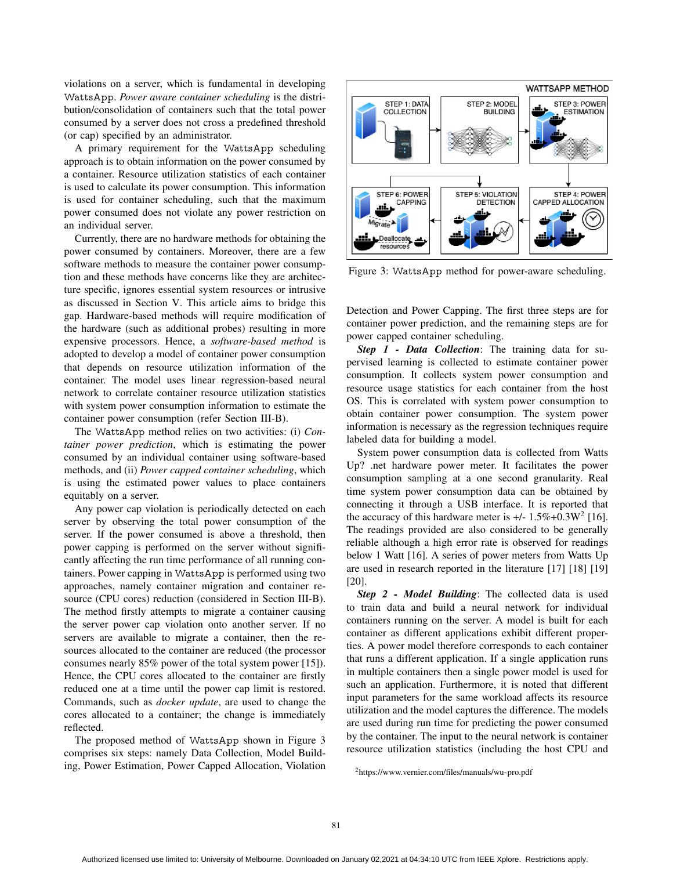violations on a server, which is fundamental in developing WattsApp. *Power aware container scheduling* is the distribution/consolidation of containers such that the total power consumed by a server does not cross a predefined threshold (or cap) specified by an administrator.

A primary requirement for the WattsApp scheduling approach is to obtain information on the power consumed by a container. Resource utilization statistics of each container is used to calculate its power consumption. This information is used for container scheduling, such that the maximum power consumed does not violate any power restriction on an individual server.

Currently, there are no hardware methods for obtaining the power consumed by containers. Moreover, there are a few software methods to measure the container power consumption and these methods have concerns like they are architecture specific, ignores essential system resources or intrusive as discussed in Section V. This article aims to bridge this gap. Hardware-based methods will require modification of the hardware (such as additional probes) resulting in more expensive processors. Hence, a *software-based method* is adopted to develop a model of container power consumption that depends on resource utilization information of the container. The model uses linear regression-based neural network to correlate container resource utilization statistics with system power consumption information to estimate the container power consumption (refer Section III-B).

The WattsApp method relies on two activities: (i) *Container power prediction*, which is estimating the power consumed by an individual container using software-based methods, and (ii) *Power capped container scheduling*, which is using the estimated power values to place containers equitably on a server.

Any power cap violation is periodically detected on each server by observing the total power consumption of the server. If the power consumed is above a threshold, then power capping is performed on the server without significantly affecting the run time performance of all running containers. Power capping in WattsApp is performed using two approaches, namely container migration and container resource (CPU cores) reduction (considered in Section III-B). The method firstly attempts to migrate a container causing the server power cap violation onto another server. If no servers are available to migrate a container, then the resources allocated to the container are reduced (the processor consumes nearly 85% power of the total system power [15]). Hence, the CPU cores allocated to the container are firstly reduced one at a time until the power cap limit is restored. Commands, such as *docker update*, are used to change the cores allocated to a container; the change is immediately reflected.

The proposed method of WattsApp shown in Figure 3 comprises six steps: namely Data Collection, Model Building, Power Estimation, Power Capped Allocation, Violation



Figure 3: WattsApp method for power-aware scheduling.

Detection and Power Capping. The first three steps are for container power prediction, and the remaining steps are for power capped container scheduling.

*Step 1 - Data Collection*: The training data for supervised learning is collected to estimate container power consumption. It collects system power consumption and resource usage statistics for each container from the host OS. This is correlated with system power consumption to obtain container power consumption. The system power information is necessary as the regression techniques require labeled data for building a model.

System power consumption data is collected from Watts Up? .net hardware power meter. It facilitates the power consumption sampling at a one second granularity. Real time system power consumption data can be obtained by connecting it through a USB interface. It is reported that the accuracy of this hardware meter is  $+/- 1.5\% + 0.3W^2$  [16]. The readings provided are also considered to be generally reliable although a high error rate is observed for readings below 1 Watt [16]. A series of power meters from Watts Up are used in research reported in the literature [17] [18] [19] [20].

*Step 2 - Model Building*: The collected data is used to train data and build a neural network for individual containers running on the server. A model is built for each container as different applications exhibit different properties. A power model therefore corresponds to each container that runs a different application. If a single application runs in multiple containers then a single power model is used for such an application. Furthermore, it is noted that different input parameters for the same workload affects its resource utilization and the model captures the difference. The models are used during run time for predicting the power consumed by the container. The input to the neural network is container resource utilization statistics (including the host CPU and

<sup>2</sup>https://www.vernier.com/files/manuals/wu-pro.pdf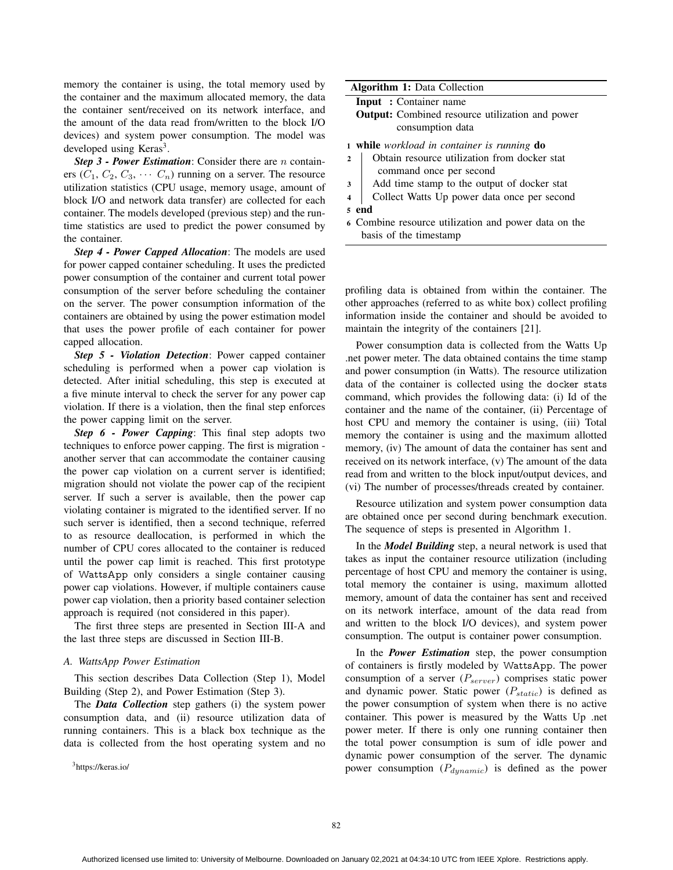memory the container is using, the total memory used by the container and the maximum allocated memory, the data the container sent/received on its network interface, and the amount of the data read from/written to the block I/O devices) and system power consumption. The model was developed using Keras<sup>3</sup>.

*Step 3 - Power Estimation*: Consider there are n containers  $(C_1, C_2, C_3, \cdots C_n)$  running on a server. The resource utilization statistics (CPU usage, memory usage, amount of block I/O and network data transfer) are collected for each container. The models developed (previous step) and the runtime statistics are used to predict the power consumed by the container.

*Step 4 - Power Capped Allocation*: The models are used for power capped container scheduling. It uses the predicted power consumption of the container and current total power consumption of the server before scheduling the container on the server. The power consumption information of the containers are obtained by using the power estimation model that uses the power profile of each container for power capped allocation.

*Step 5 - Violation Detection*: Power capped container scheduling is performed when a power cap violation is detected. After initial scheduling, this step is executed at a five minute interval to check the server for any power cap violation. If there is a violation, then the final step enforces the power capping limit on the server.

*Step 6 - Power Capping*: This final step adopts two techniques to enforce power capping. The first is migration another server that can accommodate the container causing the power cap violation on a current server is identified; migration should not violate the power cap of the recipient server. If such a server is available, then the power cap violating container is migrated to the identified server. If no such server is identified, then a second technique, referred to as resource deallocation, is performed in which the number of CPU cores allocated to the container is reduced until the power cap limit is reached. This first prototype of WattsApp only considers a single container causing power cap violations. However, if multiple containers cause power cap violation, then a priority based container selection approach is required (not considered in this paper).

The first three steps are presented in Section III-A and the last three steps are discussed in Section III-B.

#### *A. WattsApp Power Estimation*

This section describes Data Collection (Step 1), Model Building (Step 2), and Power Estimation (Step 3).

The *Data Collection* step gathers (i) the system power consumption data, and (ii) resource utilization data of running containers. This is a black box technique as the data is collected from the host operating system and no

3https://keras.io/

| <b>Algorithm 1: Data Collection</b> |  |  |  |
|-------------------------------------|--|--|--|
|-------------------------------------|--|--|--|

```
Input : Container name
```
Output: Combined resource utilization and power consumption data

<sup>1</sup> while *workload in container is running* do

- 2 | Obtain resource utilization from docker stat command once per second
- 3 Add time stamp to the output of docker stat
- <sup>4</sup> Collect Watts Up power data once per second
- <sup>5</sup> end
- <sup>6</sup> Combine resource utilization and power data on the basis of the timestamp

profiling data is obtained from within the container. The other approaches (referred to as white box) collect profiling information inside the container and should be avoided to maintain the integrity of the containers [21].

Power consumption data is collected from the Watts Up .net power meter. The data obtained contains the time stamp and power consumption (in Watts). The resource utilization data of the container is collected using the docker stats command, which provides the following data: (i) Id of the container and the name of the container, (ii) Percentage of host CPU and memory the container is using, (iii) Total memory the container is using and the maximum allotted memory, (iv) The amount of data the container has sent and received on its network interface, (v) The amount of the data read from and written to the block input/output devices, and (vi) The number of processes/threads created by container.

Resource utilization and system power consumption data are obtained once per second during benchmark execution. The sequence of steps is presented in Algorithm 1.

In the *Model Building* step, a neural network is used that takes as input the container resource utilization (including percentage of host CPU and memory the container is using, total memory the container is using, maximum allotted memory, amount of data the container has sent and received on its network interface, amount of the data read from and written to the block I/O devices), and system power consumption. The output is container power consumption.

In the *Power Estimation* step, the power consumption of containers is firstly modeled by WattsApp. The power consumption of a server  $(P_{server})$  comprises static power and dynamic power. Static power  $(P_{static})$  is defined as the power consumption of system when there is no active container. This power is measured by the Watts Up .net power meter. If there is only one running container then the total power consumption is sum of idle power and dynamic power consumption of the server. The dynamic power consumption  $(P_{dynamic})$  is defined as the power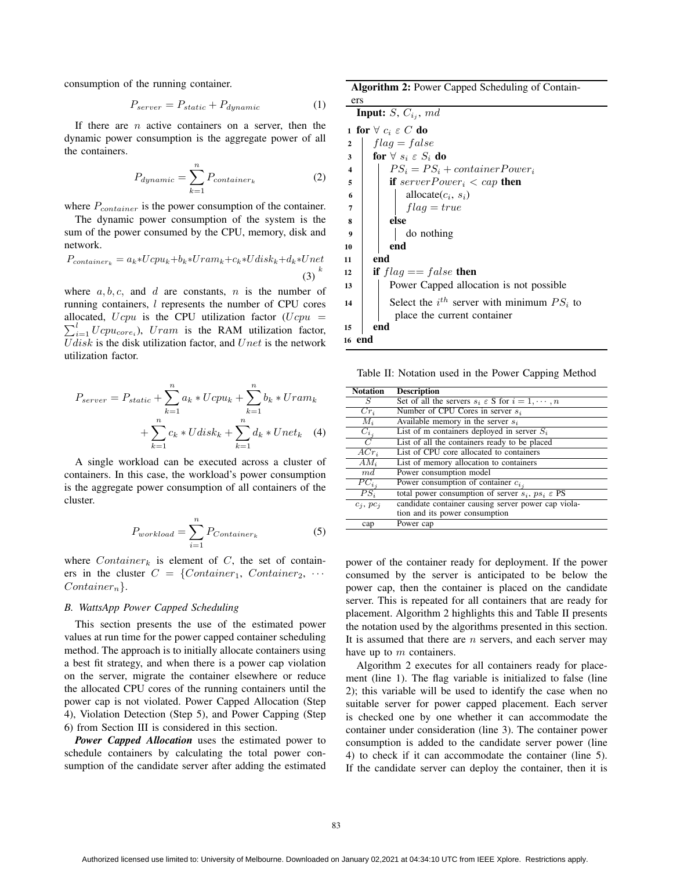consumption of the running container.

$$
P_{server} = P_{static} + P_{dynamic} \tag{1}
$$

If there are  $n$  active containers on a server, then the dynamic power consumption is the aggregate power of all the containers.

$$
P_{dynamic} = \sum_{k=1}^{n} P_{container_k}
$$
 (2)

where  $P_{container}$  is the power consumption of the container.

The dynamic power consumption of the system is the sum of the power consumed by the CPU, memory, disk and network.

$$
P_{container_k} = a_k * Ucpu_k + b_k * Uram_k + c_k * Udisk_k + d_k * Unet
$$
\n
$$
(3)
$$

where  $a, b, c$ , and d are constants, n is the number of running containers, l represents the number of CPU cores allocated,  $Ucpu$  is the CPU utilization factor  $(Ucpu =$  $\sum_{i=1}^{l} Ucpu_{core_i}$ ), Uram is the RAM utilization factor, U disk is the disk utilization factor, and U net is the network utilization factor.

$$
P_{server} = P_{static} + \sum_{k=1}^{n} a_k * Ucpu_k + \sum_{k=1}^{n} b_k * Uram_k + \sum_{k=1}^{n} c_k * Udisk_k + \sum_{k=1}^{n} d_k * Unet_k \quad (4)
$$

A single workload can be executed across a cluster of containers. In this case, the workload's power consumption is the aggregate power consumption of all containers of the cluster.

$$
P_{workload} = \sum_{i=1}^{n} P_{Container_k}
$$
 (5)

where  $Container_k$  is element of C, the set of containers in the cluster  $C = \{Container_1, Container_2, \cdots \}$  $Container_n$ .

### *B. WattsApp Power Capped Scheduling*

This section presents the use of the estimated power values at run time for the power capped container scheduling method. The approach is to initially allocate containers using a best fit strategy, and when there is a power cap violation on the server, migrate the container elsewhere or reduce the allocated CPU cores of the running containers until the power cap is not violated. Power Capped Allocation (Step 4), Violation Detection (Step 5), and Power Capping (Step 6) from Section III is considered in this section.

*Power Capped Allocation* uses the estimated power to schedule containers by calculating the total power consumption of the candidate server after adding the estimated

Algorithm 2: Power Capped Scheduling of Contain-

ers **Input:**  $S$ ,  $C_{i_j}$ ,  $md$ 1 for  $\forall$   $c_i \in C$  do 2 |  $flag = false$ 3 for  $\forall s_i \in S_i$  do 4 | P $S_i = PS_i + container Power_i$  $\begin{array}{c|c|c|c} 5 & \text{if } serverPower_i < cap \textbf{ then} \end{array}$ 6 | | | allocate $(c_i, s_i)$  $7 \mid \cdot \cdot \cdot$  flag = true  $\vert$  else <sup>9</sup> do nothing  $10$  end  $11$  end 12 **if**  $flag == false$  then <sup>13</sup> Power Capped allocation is not possible 14 | Select the  $i^{th}$  server with minimum  $PS_i$  to place the current container <sup>15</sup> end <sup>16</sup> end

Table II: Notation used in the Power Capping Method

| <b>Notation</b>    | <b>Description</b>                                                      |
|--------------------|-------------------------------------------------------------------------|
| S                  | Set of all the servers $s_i \in S$ for $i = 1, \dots, n$                |
| $Cr_i$             | Number of CPU Cores in server $s_i$                                     |
| $M_i$              | Available memory in the server $s_i$                                    |
| $C_{i_j}$          | List of m containers deployed in server $S_i$                           |
| $\overline{C}$     | List of all the containers ready to be placed                           |
| $\overline{ACr_i}$ | List of CPU core allocated to containers                                |
| $AM_i$             | List of memory allocation to containers                                 |
| md                 | Power consumption model                                                 |
| $PC_{i,i}$         | Power consumption of container $c_{i,i}$                                |
| $PS_i$             | total power consumption of server $s_i$ , $ps_i \text{ }\varepsilon$ PS |
| $c_i$ , $pc_i$     | candidate container causing server power cap viola-                     |
|                    | tion and its power consumption                                          |
| cap                | Power cap                                                               |

power of the container ready for deployment. If the power consumed by the server is anticipated to be below the power cap, then the container is placed on the candidate server. This is repeated for all containers that are ready for placement. Algorithm 2 highlights this and Table II presents the notation used by the algorithms presented in this section. It is assumed that there are  $n$  servers, and each server may have up to  $m$  containers.

Algorithm 2 executes for all containers ready for placement (line 1). The flag variable is initialized to false (line 2); this variable will be used to identify the case when no suitable server for power capped placement. Each server is checked one by one whether it can accommodate the container under consideration (line 3). The container power consumption is added to the candidate server power (line 4) to check if it can accommodate the container (line 5). If the candidate server can deploy the container, then it is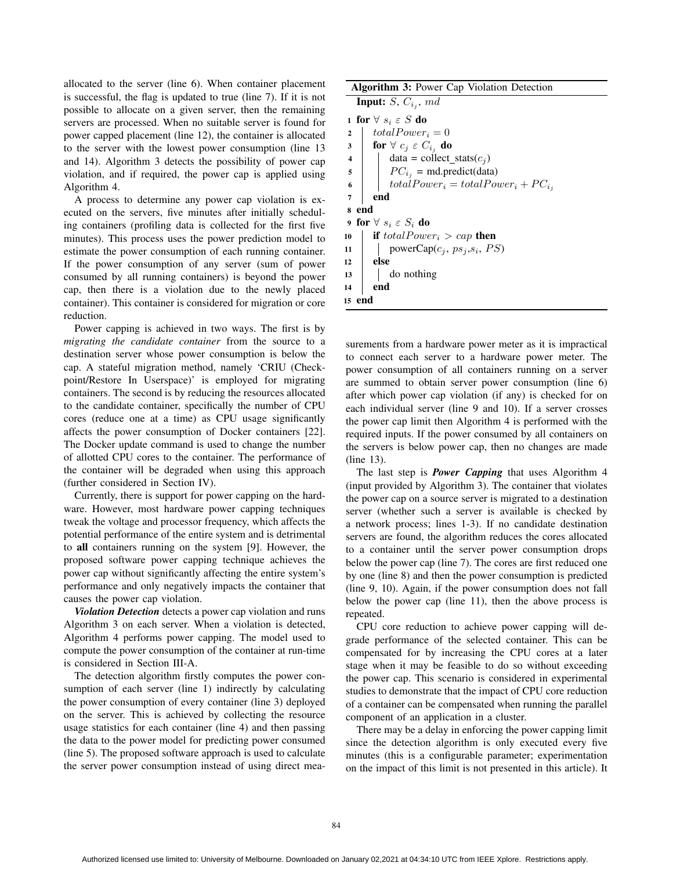allocated to the server (line 6). When container placement is successful, the flag is updated to true (line 7). If it is not possible to allocate on a given server, then the remaining servers are processed. When no suitable server is found for power capped placement (line 12), the container is allocated to the server with the lowest power consumption (line 13 and 14). Algorithm 3 detects the possibility of power cap violation, and if required, the power cap is applied using Algorithm 4.

A process to determine any power cap violation is executed on the servers, five minutes after initially scheduling containers (profiling data is collected for the first five minutes). This process uses the power prediction model to estimate the power consumption of each running container. If the power consumption of any server (sum of power consumed by all running containers) is beyond the power cap, then there is a violation due to the newly placed container). This container is considered for migration or core reduction.

Power capping is achieved in two ways. The first is by *migrating the candidate container* from the source to a destination server whose power consumption is below the cap. A stateful migration method, namely 'CRIU (Checkpoint/Restore In Userspace)' is employed for migrating containers. The second is by reducing the resources allocated to the candidate container, specifically the number of CPU cores (reduce one at a time) as CPU usage significantly affects the power consumption of Docker containers [22]. The Docker update command is used to change the number of allotted CPU cores to the container. The performance of the container will be degraded when using this approach (further considered in Section IV).

Currently, there is support for power capping on the hardware. However, most hardware power capping techniques tweak the voltage and processor frequency, which affects the potential performance of the entire system and is detrimental to all containers running on the system [9]. However, the proposed software power capping technique achieves the power cap without significantly affecting the entire system's performance and only negatively impacts the container that causes the power cap violation.

*Violation Detection* detects a power cap violation and runs Algorithm 3 on each server. When a violation is detected, Algorithm 4 performs power capping. The model used to compute the power consumption of the container at run-time is considered in Section III-A.

The detection algorithm firstly computes the power consumption of each server (line 1) indirectly by calculating the power consumption of every container (line 3) deployed on the server. This is achieved by collecting the resource usage statistics for each container (line 4) and then passing the data to the power model for predicting power consumed (line 5). The proposed software approach is used to calculate the server power consumption instead of using direct meaAlgorithm 3: Power Cap Violation Detection **Input:**  $S$ ,  $C_{i_j}$ ,  $md$ 

1 for  $\forall s_i \in S$  do 2 | totalPower<sub>i</sub> = 0 3 for  $\forall$   $c_j \in C_{i_j}$  do 4 data = collect\_stats $(c_i)$  $5 \mid P C_{i_j} = \text{md.predict}(data)$ 6 | totalPower<sub>i</sub> = totalPower<sub>i</sub> +  $PC_{i_j}$ <sup>7</sup> end <sup>8</sup> end 9 for  $\forall s_i \in S_i$  do 10 **if** total Power<sub>i</sub> > cap **then** 11 | powerCap $(c_j, ps_j, s_i, PS)$  $12$  else <sup>13</sup> do nothing <sup>14</sup> end <sup>15</sup> end

surements from a hardware power meter as it is impractical to connect each server to a hardware power meter. The power consumption of all containers running on a server are summed to obtain server power consumption (line 6) after which power cap violation (if any) is checked for on each individual server (line 9 and 10). If a server crosses the power cap limit then Algorithm 4 is performed with the required inputs. If the power consumed by all containers on the servers is below power cap, then no changes are made (line 13).

The last step is *Power Capping* that uses Algorithm 4 (input provided by Algorithm 3). The container that violates the power cap on a source server is migrated to a destination server (whether such a server is available is checked by a network process; lines 1-3). If no candidate destination servers are found, the algorithm reduces the cores allocated to a container until the server power consumption drops below the power cap (line 7). The cores are first reduced one by one (line 8) and then the power consumption is predicted (line 9, 10). Again, if the power consumption does not fall below the power cap (line 11), then the above process is repeated.

CPU core reduction to achieve power capping will degrade performance of the selected container. This can be compensated for by increasing the CPU cores at a later stage when it may be feasible to do so without exceeding the power cap. This scenario is considered in experimental studies to demonstrate that the impact of CPU core reduction of a container can be compensated when running the parallel component of an application in a cluster.

There may be a delay in enforcing the power capping limit since the detection algorithm is only executed every five minutes (this is a configurable parameter; experimentation on the impact of this limit is not presented in this article). It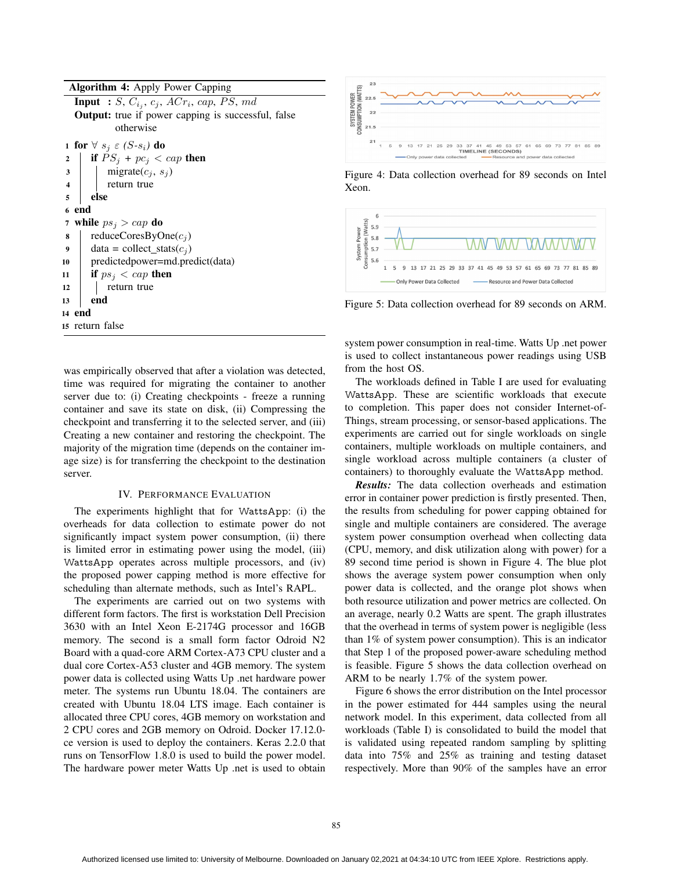Algorithm 4: Apply Power Capping **Input** :  $S$ ,  $C_{i_j}$ ,  $c_j$ ,  $ACr_i$ ,  $cap$ ,  $PS$ ,  $md$ Output: true if power capping is successful, false otherwise 1 for  $\forall s_j \in (S-s_i)$  do 2 **if**  $PS_i$  +  $pc_i$  < cap then  $\mathbf{3}$  migrate $(c_j, s_j)$ 4 | return true <sup>5</sup> else <sup>6</sup> end 7 while  $ps_i > cap$  do 8 | reduceCoresByOne $(c_j)$ 9 data = collect\_stats $(c_i)$ <sup>10</sup> predictedpower=md.predict(data) 11 if  $ps_i < cap$  then 12 | return true <sup>13</sup> end <sup>14</sup> end <sup>15</sup> return false

was empirically observed that after a violation was detected, time was required for migrating the container to another server due to: (i) Creating checkpoints - freeze a running container and save its state on disk, (ii) Compressing the checkpoint and transferring it to the selected server, and (iii) Creating a new container and restoring the checkpoint. The majority of the migration time (depends on the container image size) is for transferring the checkpoint to the destination server.

#### IV. PERFORMANCE EVALUATION

The experiments highlight that for WattsApp: (i) the overheads for data collection to estimate power do not significantly impact system power consumption, (ii) there is limited error in estimating power using the model, (iii) WattsApp operates across multiple processors, and (iv) the proposed power capping method is more effective for scheduling than alternate methods, such as Intel's RAPL.

The experiments are carried out on two systems with different form factors. The first is workstation Dell Precision 3630 with an Intel Xeon E-2174G processor and 16GB memory. The second is a small form factor Odroid N2 Board with a quad-core ARM Cortex-A73 CPU cluster and a dual core Cortex-A53 cluster and 4GB memory. The system power data is collected using Watts Up .net hardware power meter. The systems run Ubuntu 18.04. The containers are created with Ubuntu 18.04 LTS image. Each container is allocated three CPU cores, 4GB memory on workstation and 2 CPU cores and 2GB memory on Odroid. Docker 17.12.0 ce version is used to deploy the containers. Keras 2.2.0 that runs on TensorFlow 1.8.0 is used to build the power model. The hardware power meter Watts Up .net is used to obtain



Figure 4: Data collection overhead for 89 seconds on Intel Xeon.



Figure 5: Data collection overhead for 89 seconds on ARM.

system power consumption in real-time. Watts Up .net power is used to collect instantaneous power readings using USB from the host OS.

The workloads defined in Table I are used for evaluating WattsApp. These are scientific workloads that execute to completion. This paper does not consider Internet-of-Things, stream processing, or sensor-based applications. The experiments are carried out for single workloads on single containers, multiple workloads on multiple containers, and single workload across multiple containers (a cluster of containers) to thoroughly evaluate the WattsApp method.

*Results:* The data collection overheads and estimation error in container power prediction is firstly presented. Then, the results from scheduling for power capping obtained for single and multiple containers are considered. The average system power consumption overhead when collecting data (CPU, memory, and disk utilization along with power) for a 89 second time period is shown in Figure 4. The blue plot shows the average system power consumption when only power data is collected, and the orange plot shows when both resource utilization and power metrics are collected. On an average, nearly 0.2 Watts are spent. The graph illustrates that the overhead in terms of system power is negligible (less than 1% of system power consumption). This is an indicator that Step 1 of the proposed power-aware scheduling method is feasible. Figure 5 shows the data collection overhead on ARM to be nearly 1.7% of the system power.

Figure 6 shows the error distribution on the Intel processor in the power estimated for 444 samples using the neural network model. In this experiment, data collected from all workloads (Table I) is consolidated to build the model that is validated using repeated random sampling by splitting data into 75% and 25% as training and testing dataset respectively. More than 90% of the samples have an error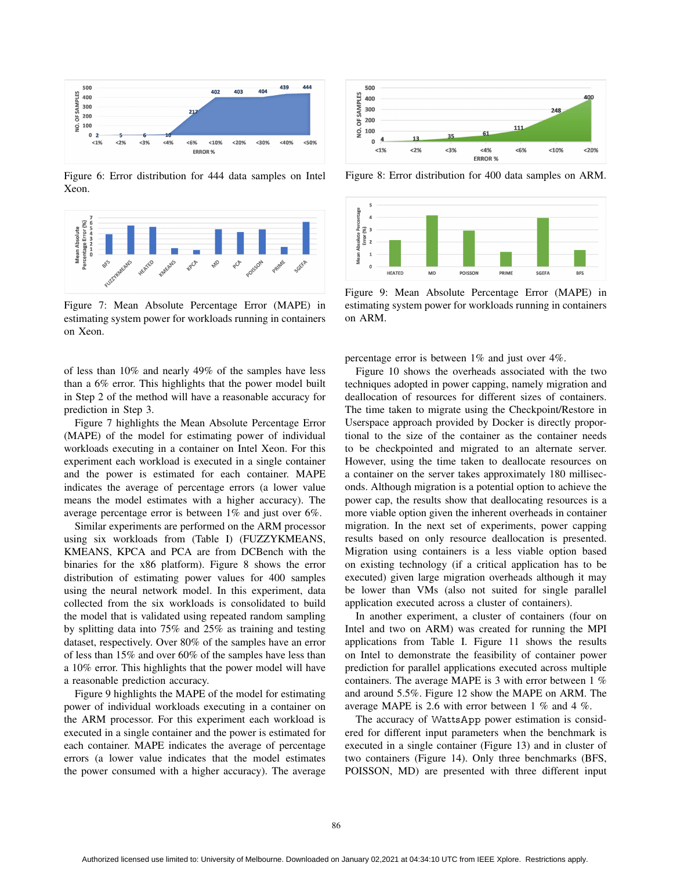

Figure 6: Error distribution for 444 data samples on Intel Xeon.



Figure 7: Mean Absolute Percentage Error (MAPE) in estimating system power for workloads running in containers on Xeon.

of less than 10% and nearly 49% of the samples have less than a 6% error. This highlights that the power model built in Step 2 of the method will have a reasonable accuracy for prediction in Step 3.

Figure 7 highlights the Mean Absolute Percentage Error (MAPE) of the model for estimating power of individual workloads executing in a container on Intel Xeon. For this experiment each workload is executed in a single container and the power is estimated for each container. MAPE indicates the average of percentage errors (a lower value means the model estimates with a higher accuracy). The average percentage error is between 1% and just over 6%.

Similar experiments are performed on the ARM processor using six workloads from (Table I) (FUZZYKMEANS, KMEANS, KPCA and PCA are from DCBench with the binaries for the x86 platform). Figure 8 shows the error distribution of estimating power values for 400 samples using the neural network model. In this experiment, data collected from the six workloads is consolidated to build the model that is validated using repeated random sampling by splitting data into 75% and 25% as training and testing dataset, respectively. Over 80% of the samples have an error of less than 15% and over 60% of the samples have less than a 10% error. This highlights that the power model will have a reasonable prediction accuracy.

Figure 9 highlights the MAPE of the model for estimating power of individual workloads executing in a container on the ARM processor. For this experiment each workload is executed in a single container and the power is estimated for each container. MAPE indicates the average of percentage errors (a lower value indicates that the model estimates the power consumed with a higher accuracy). The average



Figure 8: Error distribution for 400 data samples on ARM.



Figure 9: Mean Absolute Percentage Error (MAPE) in estimating system power for workloads running in containers on ARM.

percentage error is between 1% and just over 4%.

Figure 10 shows the overheads associated with the two techniques adopted in power capping, namely migration and deallocation of resources for different sizes of containers. The time taken to migrate using the Checkpoint/Restore in Userspace approach provided by Docker is directly proportional to the size of the container as the container needs to be checkpointed and migrated to an alternate server. However, using the time taken to deallocate resources on a container on the server takes approximately 180 milliseconds. Although migration is a potential option to achieve the power cap, the results show that deallocating resources is a more viable option given the inherent overheads in container migration. In the next set of experiments, power capping results based on only resource deallocation is presented. Migration using containers is a less viable option based on existing technology (if a critical application has to be executed) given large migration overheads although it may be lower than VMs (also not suited for single parallel application executed across a cluster of containers).

In another experiment, a cluster of containers (four on Intel and two on ARM) was created for running the MPI applications from Table I. Figure 11 shows the results on Intel to demonstrate the feasibility of container power prediction for parallel applications executed across multiple containers. The average MAPE is 3 with error between 1 % and around 5.5%. Figure 12 show the MAPE on ARM. The average MAPE is 2.6 with error between 1 % and 4 %.

The accuracy of WattsApp power estimation is considered for different input parameters when the benchmark is executed in a single container (Figure 13) and in cluster of two containers (Figure 14). Only three benchmarks (BFS, POISSON, MD) are presented with three different input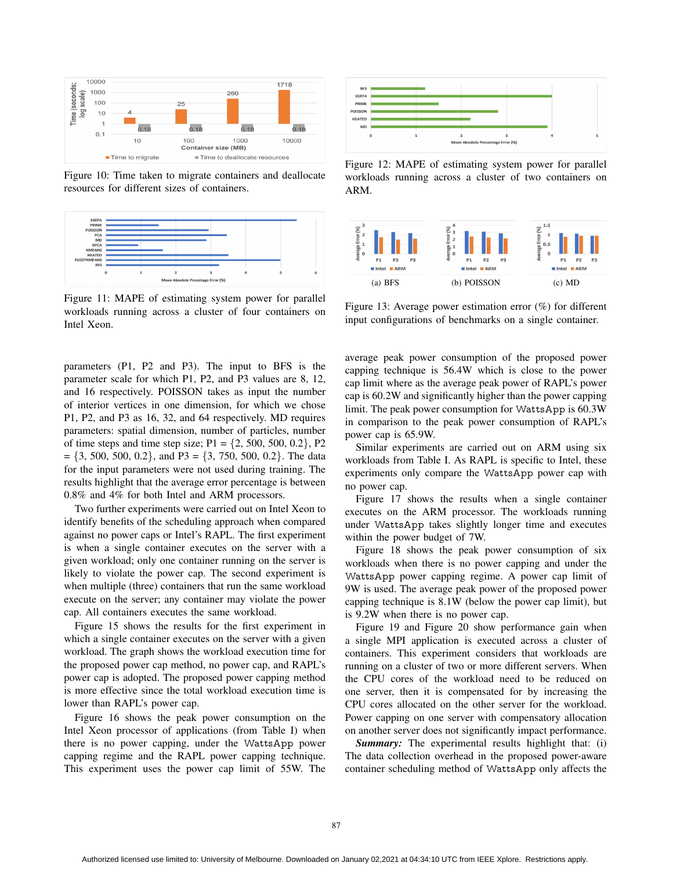

Figure 10: Time taken to migrate containers and deallocate resources for different sizes of containers.



Figure 11: MAPE of estimating system power for parallel workloads running across a cluster of four containers on Intel Xeon.

parameters (P1, P2 and P3). The input to BFS is the parameter scale for which P1, P2, and P3 values are 8, 12, and 16 respectively. POISSON takes as input the number of interior vertices in one dimension, for which we chose P1, P2, and P3 as 16, 32, and 64 respectively. MD requires parameters: spatial dimension, number of particles, number of time steps and time step size;  $P1 = \{2, 500, 500, 0.2\}$ ,  $P2$  $= \{3, 500, 500, 0.2\}$ , and P3 =  $\{3, 750, 500, 0.2\}$ . The data for the input parameters were not used during training. The results highlight that the average error percentage is between 0.8% and 4% for both Intel and ARM processors.

Two further experiments were carried out on Intel Xeon to identify benefits of the scheduling approach when compared against no power caps or Intel's RAPL. The first experiment is when a single container executes on the server with a given workload; only one container running on the server is likely to violate the power cap. The second experiment is when multiple (three) containers that run the same workload execute on the server; any container may violate the power cap. All containers executes the same workload.

Figure 15 shows the results for the first experiment in which a single container executes on the server with a given workload. The graph shows the workload execution time for the proposed power cap method, no power cap, and RAPL's power cap is adopted. The proposed power capping method is more effective since the total workload execution time is lower than RAPL's power cap.

Figure 16 shows the peak power consumption on the Intel Xeon processor of applications (from Table I) when there is no power capping, under the WattsApp power capping regime and the RAPL power capping technique. This experiment uses the power cap limit of 55W. The



Figure 12: MAPE of estimating system power for parallel workloads running across a cluster of two containers on ARM.



Figure 13: Average power estimation error (%) for different input configurations of benchmarks on a single container.

average peak power consumption of the proposed power capping technique is 56.4W which is close to the power cap limit where as the average peak power of RAPL's power cap is 60.2W and significantly higher than the power capping limit. The peak power consumption for WattsApp is 60.3W in comparison to the peak power consumption of RAPL's power cap is 65.9W.

Similar experiments are carried out on ARM using six workloads from Table I. As RAPL is specific to Intel, these experiments only compare the WattsApp power cap with no power cap.

Figure 17 shows the results when a single container executes on the ARM processor. The workloads running under WattsApp takes slightly longer time and executes within the power budget of 7W.

Figure 18 shows the peak power consumption of six workloads when there is no power capping and under the WattsApp power capping regime. A power cap limit of 9W is used. The average peak power of the proposed power capping technique is 8.1W (below the power cap limit), but is 9.2W when there is no power cap.

Figure 19 and Figure 20 show performance gain when a single MPI application is executed across a cluster of containers. This experiment considers that workloads are running on a cluster of two or more different servers. When the CPU cores of the workload need to be reduced on one server, then it is compensated for by increasing the CPU cores allocated on the other server for the workload. Power capping on one server with compensatory allocation on another server does not significantly impact performance.

*Summary:* The experimental results highlight that: (i) The data collection overhead in the proposed power-aware container scheduling method of WattsApp only affects the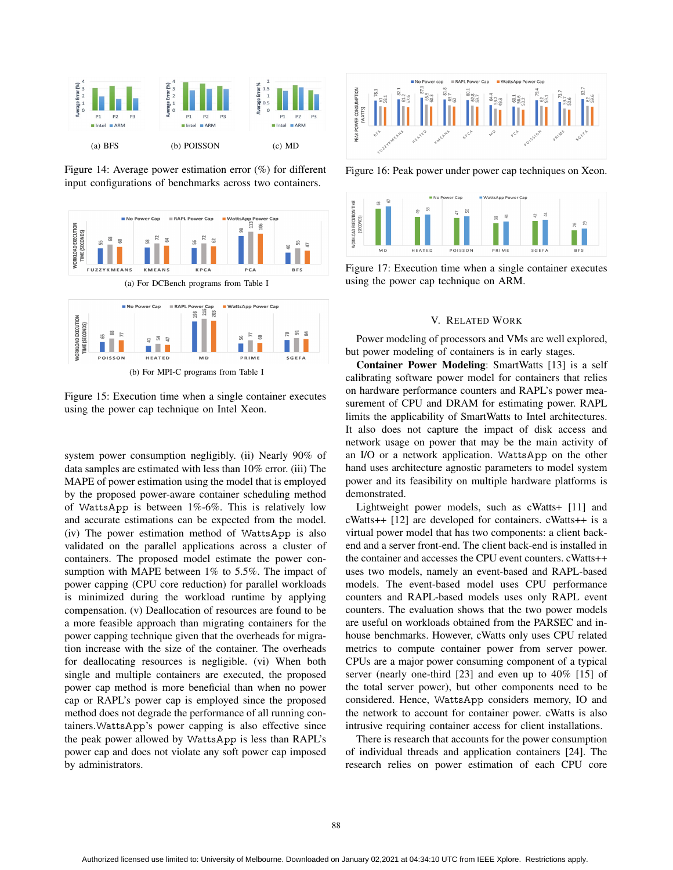

Figure 14: Average power estimation error (%) for different input configurations of benchmarks across two containers.



Figure 15: Execution time when a single container executes using the power cap technique on Intel Xeon.

system power consumption negligibly. (ii) Nearly 90% of data samples are estimated with less than 10% error. (iii) The MAPE of power estimation using the model that is employed by the proposed power-aware container scheduling method of WattsApp is between 1%-6%. This is relatively low and accurate estimations can be expected from the model. (iv) The power estimation method of WattsApp is also validated on the parallel applications across a cluster of containers. The proposed model estimate the power consumption with MAPE between 1% to 5.5%. The impact of power capping (CPU core reduction) for parallel workloads is minimized during the workload runtime by applying compensation. (v) Deallocation of resources are found to be a more feasible approach than migrating containers for the power capping technique given that the overheads for migration increase with the size of the container. The overheads for deallocating resources is negligible. (vi) When both single and multiple containers are executed, the proposed power cap method is more beneficial than when no power cap or RAPL's power cap is employed since the proposed method does not degrade the performance of all running containers.WattsApp's power capping is also effective since the peak power allowed by WattsApp is less than RAPL's power cap and does not violate any soft power cap imposed by administrators.



Figure 16: Peak power under power cap techniques on Xeon.



Figure 17: Execution time when a single container executes using the power cap technique on ARM.

## V. RELATED WORK

Power modeling of processors and VMs are well explored, but power modeling of containers is in early stages.

Container Power Modeling: SmartWatts [13] is a self calibrating software power model for containers that relies on hardware performance counters and RAPL's power measurement of CPU and DRAM for estimating power. RAPL limits the applicability of SmartWatts to Intel architectures. It also does not capture the impact of disk access and network usage on power that may be the main activity of an I/O or a network application. WattsApp on the other hand uses architecture agnostic parameters to model system power and its feasibility on multiple hardware platforms is demonstrated.

Lightweight power models, such as cWatts+ [11] and cWatts++ [12] are developed for containers. cWatts++ is a virtual power model that has two components: a client backend and a server front-end. The client back-end is installed in the container and accesses the CPU event counters. cWatts++ uses two models, namely an event-based and RAPL-based models. The event-based model uses CPU performance counters and RAPL-based models uses only RAPL event counters. The evaluation shows that the two power models are useful on workloads obtained from the PARSEC and inhouse benchmarks. However, cWatts only uses CPU related metrics to compute container power from server power. CPUs are a major power consuming component of a typical server (nearly one-third [23] and even up to 40% [15] of the total server power), but other components need to be considered. Hence, WattsApp considers memory, IO and the network to account for container power. cWatts is also intrusive requiring container access for client installations.

There is research that accounts for the power consumption of individual threads and application containers [24]. The research relies on power estimation of each CPU core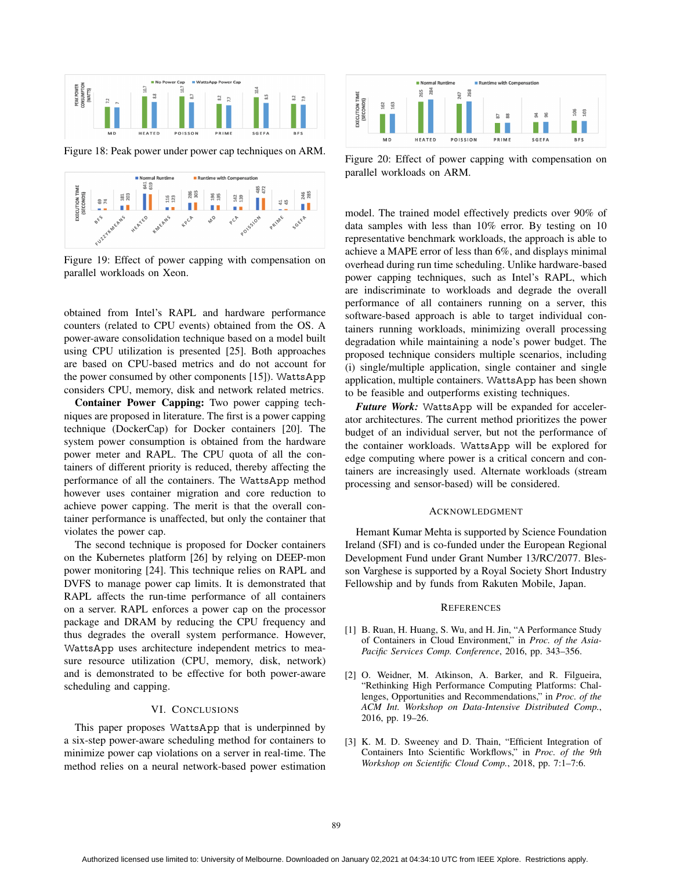

Figure 18: Peak power under power cap techniques on ARM.



Figure 19: Effect of power capping with compensation on parallel workloads on Xeon.

obtained from Intel's RAPL and hardware performance counters (related to CPU events) obtained from the OS. A power-aware consolidation technique based on a model built using CPU utilization is presented [25]. Both approaches are based on CPU-based metrics and do not account for the power consumed by other components [15]). WattsApp considers CPU, memory, disk and network related metrics.

Container Power Capping: Two power capping techniques are proposed in literature. The first is a power capping technique (DockerCap) for Docker containers [20]. The system power consumption is obtained from the hardware power meter and RAPL. The CPU quota of all the containers of different priority is reduced, thereby affecting the performance of all the containers. The WattsApp method however uses container migration and core reduction to achieve power capping. The merit is that the overall container performance is unaffected, but only the container that violates the power cap.

The second technique is proposed for Docker containers on the Kubernetes platform [26] by relying on DEEP-mon power monitoring [24]. This technique relies on RAPL and DVFS to manage power cap limits. It is demonstrated that RAPL affects the run-time performance of all containers on a server. RAPL enforces a power cap on the processor package and DRAM by reducing the CPU frequency and thus degrades the overall system performance. However, WattsApp uses architecture independent metrics to measure resource utilization (CPU, memory, disk, network) and is demonstrated to be effective for both power-aware scheduling and capping.

## VI. CONCLUSIONS

This paper proposes WattsApp that is underpinned by a six-step power-aware scheduling method for containers to minimize power cap violations on a server in real-time. The method relies on a neural network-based power estimation



Figure 20: Effect of power capping with compensation on parallel workloads on ARM.

model. The trained model effectively predicts over 90% of data samples with less than 10% error. By testing on 10 representative benchmark workloads, the approach is able to achieve a MAPE error of less than 6%, and displays minimal overhead during run time scheduling. Unlike hardware-based power capping techniques, such as Intel's RAPL, which are indiscriminate to workloads and degrade the overall performance of all containers running on a server, this software-based approach is able to target individual containers running workloads, minimizing overall processing degradation while maintaining a node's power budget. The proposed technique considers multiple scenarios, including (i) single/multiple application, single container and single application, multiple containers. WattsApp has been shown to be feasible and outperforms existing techniques.

*Future Work:* WattsApp will be expanded for accelerator architectures. The current method prioritizes the power budget of an individual server, but not the performance of the container workloads. WattsApp will be explored for edge computing where power is a critical concern and containers are increasingly used. Alternate workloads (stream processing and sensor-based) will be considered.

#### ACKNOWLEDGMENT

Hemant Kumar Mehta is supported by Science Foundation Ireland (SFI) and is co-funded under the European Regional Development Fund under Grant Number 13/RC/2077. Blesson Varghese is supported by a Royal Society Short Industry Fellowship and by funds from Rakuten Mobile, Japan.

#### **REFERENCES**

- [1] B. Ruan, H. Huang, S. Wu, and H. Jin, "A Performance Study of Containers in Cloud Environment," in *Proc. of the Asia-Pacific Services Comp. Conference*, 2016, pp. 343–356.
- [2] O. Weidner, M. Atkinson, A. Barker, and R. Filgueira, "Rethinking High Performance Computing Platforms: Challenges, Opportunities and Recommendations," in *Proc. of the ACM Int. Workshop on Data-Intensive Distributed Comp.*, 2016, pp. 19–26.
- [3] K. M. D. Sweeney and D. Thain, "Efficient Integration of Containers Into Scientific Workflows," in *Proc. of the 9th Workshop on Scientific Cloud Comp.*, 2018, pp. 7:1–7:6.